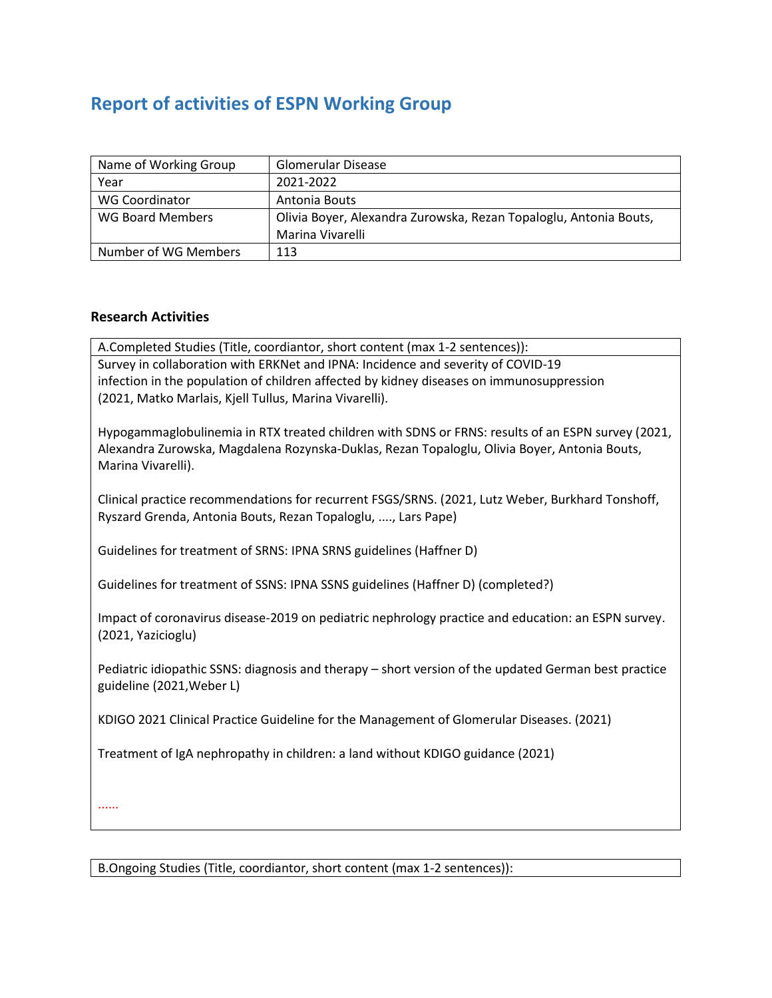# **Report of activities of ESPN Working Group**

| Name of Working Group | <b>Glomerular Disease</b>                                         |
|-----------------------|-------------------------------------------------------------------|
| Year                  | 2021-2022                                                         |
| <b>WG Coordinator</b> | Antonia Bouts                                                     |
| WG Board Members      | Olivia Boyer, Alexandra Zurowska, Rezan Topaloglu, Antonia Bouts, |
|                       | Marina Vivarelli                                                  |
| Number of WG Members  | 113                                                               |

#### **Research Activities**

A.Completed Studies (Title, coordiantor, short content (max 1-2 sentences)): Survey in collaboration with ERKNet and IPNA: Incidence and severity of COVID-19 infection in the population of children affected by kidney diseases on immunosuppression (2021, Matko Marlais, Kjell Tullus, Marina Vivarelli).

Hypogammaglobulinemia in RTX treated children with SDNS or FRNS: results of an ESPN survey (2021, Alexandra Zurowska, Magdalena Rozynska-Duklas, Rezan Topaloglu, Olivia Boyer, Antonia Bouts, Marina Vivarelli).

Clinical practice recommendations for recurrent FSGS/SRNS. (2021, Lutz Weber, Burkhard Tonshoff, Ryszard Grenda, Antonia Bouts, Rezan Topaloglu, ...., Lars Pape)

Guidelines for treatment of SRNS: IPNA SRNS guidelines (Haffner D)

Guidelines for treatment of SSNS: IPNA SSNS guidelines (Haffner D) (completed?)

Impact of coronavirus disease-2019 on pediatric nephrology practice and education: an ESPN survey. (2021, Yazicioglu)

Pediatric idiopathic SSNS: diagnosis and therapy – short version of the updated German best practice guideline (2021,Weber L)

KDIGO 2021 Clinical Practice Guideline for the Management of Glomerular Diseases. (2021)

Treatment of IgA nephropathy in children: a land without KDIGO guidance (2021)

......

B.Ongoing Studies (Title, coordiantor, short content (max 1-2 sentences)):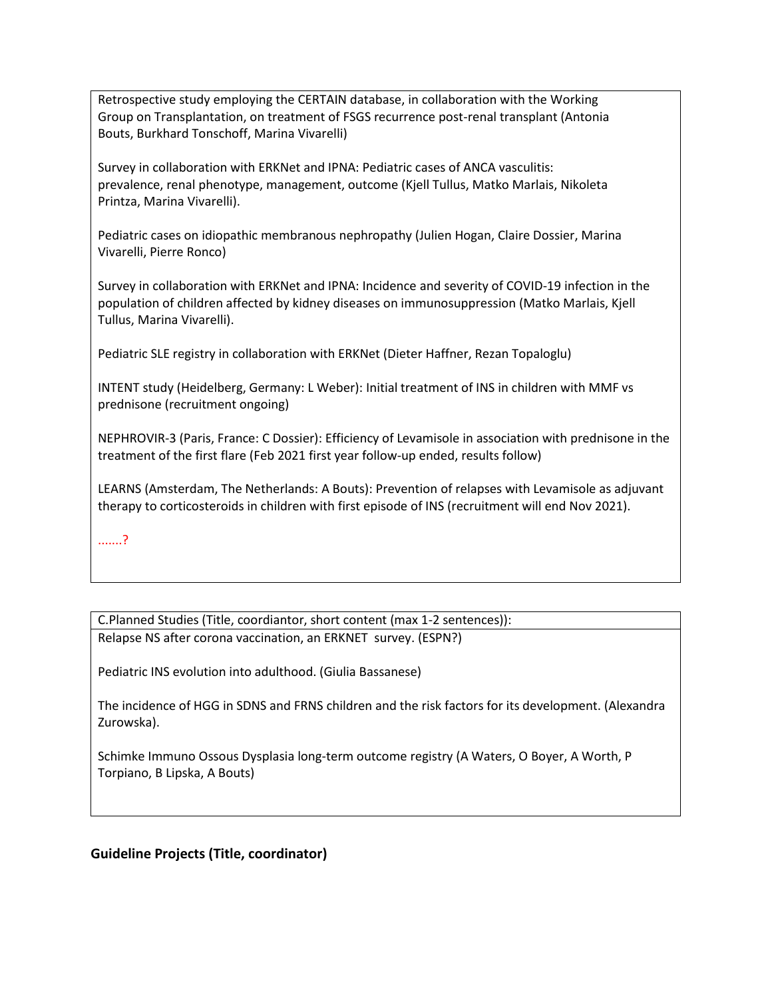Retrospective study employing the CERTAIN database, in collaboration with the Working Group on Transplantation, on treatment of FSGS recurrence post-renal transplant (Antonia Bouts, Burkhard Tonschoff, Marina Vivarelli)

Survey in collaboration with ERKNet and IPNA: Pediatric cases of ANCA vasculitis: prevalence, renal phenotype, management, outcome (Kjell Tullus, Matko Marlais, Nikoleta Printza, Marina Vivarelli).

Pediatric cases on idiopathic membranous nephropathy (Julien Hogan, Claire Dossier, Marina Vivarelli, Pierre Ronco)

Survey in collaboration with ERKNet and IPNA: Incidence and severity of COVID-19 infection in the population of children affected by kidney diseases on immunosuppression (Matko Marlais, Kjell Tullus, Marina Vivarelli).

Pediatric SLE registry in collaboration with ERKNet (Dieter Haffner, Rezan Topaloglu)

INTENT study (Heidelberg, Germany: L Weber): Initial treatment of INS in children with MMF vs prednisone (recruitment ongoing)

NEPHROVIR-3 (Paris, France: C Dossier): Efficiency of Levamisole in association with prednisone in the treatment of the first flare (Feb 2021 first year follow-up ended, results follow)

LEARNS (Amsterdam, The Netherlands: A Bouts): Prevention of relapses with Levamisole as adjuvant therapy to corticosteroids in children with first episode of INS (recruitment will end Nov 2021).

.......?

C.Planned Studies (Title, coordiantor, short content (max 1-2 sentences)): Relapse NS after corona vaccination, an ERKNET survey. (ESPN?)

Pediatric INS evolution into adulthood. (Giulia Bassanese)

The incidence of HGG in SDNS and FRNS children and the risk factors for its development. (Alexandra Zurowska).

Schimke Immuno Ossous Dysplasia long-term outcome registry (A Waters, O Boyer, A Worth, P Torpiano, B Lipska, A Bouts)

## **Guideline Projects (Title, coordinator)**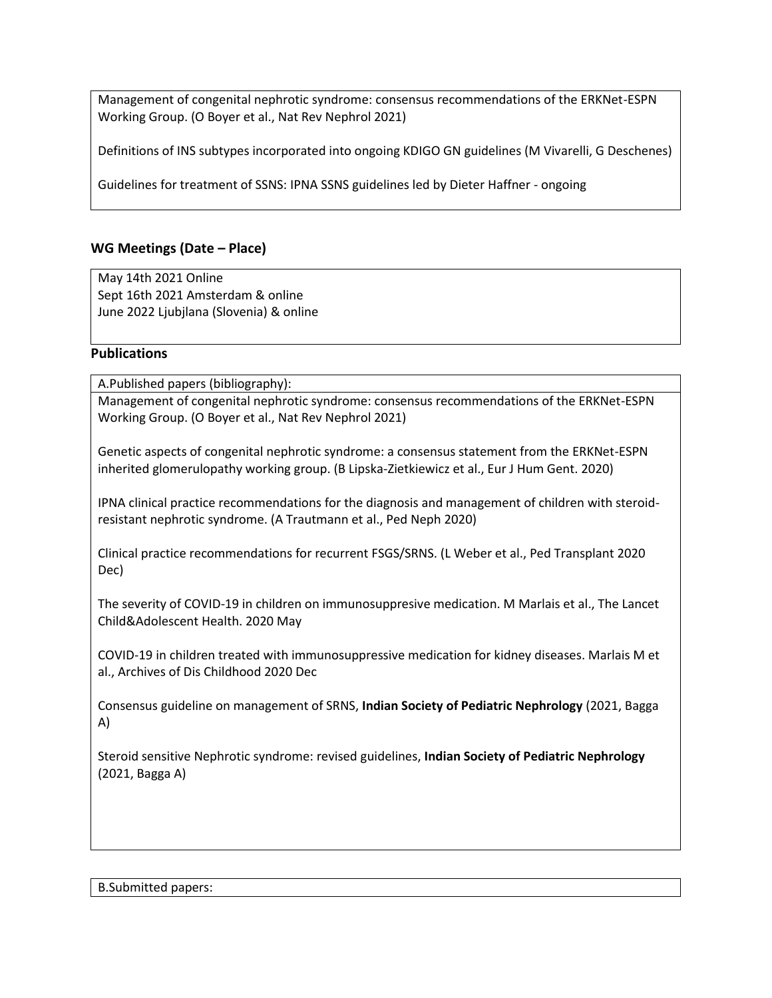Management of congenital nephrotic syndrome: consensus recommendations of the ERKNet-ESPN Working Group. (O Boyer et al., Nat Rev Nephrol 2021)

Definitions of INS subtypes incorporated into ongoing KDIGO GN guidelines (M Vivarelli, G Deschenes)

Guidelines for treatment of SSNS: IPNA SSNS guidelines led by Dieter Haffner - ongoing

## **WG Meetings (Date – Place)**

May 14th 2021 Online Sept 16th 2021 Amsterdam & online June 2022 Ljubjlana (Slovenia) & online

### **Publications**

A.Published papers (bibliography):

Management of congenital nephrotic syndrome: consensus recommendations of the ERKNet-ESPN Working Group. (O Boyer et al., Nat Rev Nephrol 2021)

Genetic aspects of congenital nephrotic syndrome: a consensus statement from the ERKNet-ESPN inherited glomerulopathy working group. (B Lipska-Zietkiewicz et al., Eur J Hum Gent. 2020)

IPNA clinical practice recommendations for the diagnosis and management of children with steroidresistant nephrotic syndrome. (A Trautmann et al., Ped Neph 2020)

Clinical practice recommendations for recurrent FSGS/SRNS. (L Weber et al., Ped Transplant 2020 Dec)

The severity of COVID-19 in children on immunosuppresive medication. M Marlais et al., The Lancet Child&Adolescent Health. 2020 May

COVID-19 in children treated with immunosuppressive medication for kidney diseases. Marlais M et al., Archives of Dis Childhood 2020 Dec

Consensus guideline on management of SRNS, **Indian Society of Pediatric Nephrology** (2021, Bagga A)

Steroid sensitive Nephrotic syndrome: revised guidelines, **Indian Society of Pediatric Nephrology** (2021, Bagga A)

B.Submitted papers: